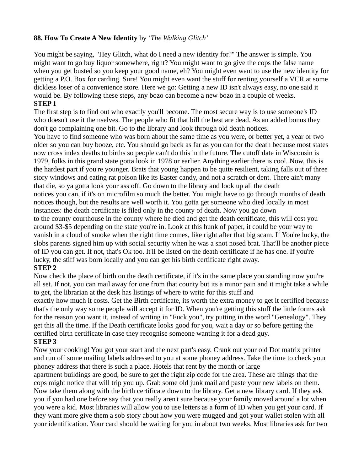## **88. How To Create A New Identity** by '*The Walking Glitch'*

You might be saying, "Hey Glitch, what do I need a new identity for?" The answer is simple. You might want to go buy liquor somewhere, right? You might want to go give the cops the false name when you get busted so you keep your good name, eh? You might even want to use the new identity for getting a P.O. Box for carding. Sure! You might even want the stuff for renting yourself a VCR at some dickless loser of a convenience store. Here we go: Getting a new ID isn't always easy, no one said it would be. By following these steps, any bozo can become a new bozo in a couple of weeks.

#### **STEP 1**

The first step is to find out who exactly you'll become. The most secure way is to use someone's ID who doesn't use it themselves. The people who fit that bill the best are dead. As an added bonus they don't go complaining one bit. Go to the library and look through old death notices.

You have to find someone who was born about the same time as you were, or better yet, a year or two older so you can buy booze, etc. You should go back as far as you can for the death because most states now cross index deaths to births so people can't do this in the future. The cutoff date in Wisconsin is 1979, folks in this grand state gotta look in 1978 or earlier. Anything earlier there is cool. Now, this is the hardest part if you're younger. Brats that young happen to be quite resilient, taking falls out of three story windows and eating rat poison like its Easter candy, and not a scratch or dent. There ain't many that die, so ya gotta look your ass off. Go down to the library and look up all the death notices you can, if it's on microfilm so much the better. You might have to go through months of death notices though, but the results are well worth it. You gotta get someone who died locally in most instances: the death certificate is filed only in the county of death. Now you go down to the county courthouse in the county where he died and get the death certificate, this will cost you around \$3-\$5 depending on the state you're in. Look at this hunk of paper, it could be your way to vanish in a cloud of smoke when the right time comes, like right after that big scam. If You're lucky, the slobs parents signed him up with social security when he was a snot nosed brat. That'll be another piece of ID you can get. If not, that's Ok too. It'll be listed on the death certificate if he has one. If you're lucky, the stiff was born locally and you can get his birth certificate right away.

## **STEP 2**

Now check the place of birth on the death certificate, if it's in the same place you standing now you're all set. If not, you can mail away for one from that county but its a minor pain and it might take a while to get, the librarian at the desk has listings of where to write for this stuff and

exactly how much it costs. Get the Birth certificate, its worth the extra money to get it certified because that's the only way some people will accept it for ID. When you're getting this stuff the little forms ask for the reason you want it, instead of writing in "Fuck you", try putting in the word "Genealogy". They get this all the time. If the Death certificate looks good for you, wait a day or so before getting the certified birth certificate in case they recognise someone wanting it for a dead guy.

## **STEP 3**

Now your cooking! You got your start and the next part's easy. Crank out your old Dot matrix printer and run off some mailing labels addressed to you at some phoney address. Take the time to check your phoney address that there is such a place. Hotels that rent by the month or large

apartment buildings are good, be sure to get the right zip code for the area. These are things that the cops might notice that will trip you up. Grab some old junk mail and paste your new labels on them. Now take them along with the birth certificate down to the library. Get a new library card. If they ask you if you had one before say that you really aren't sure because your family moved around a lot when you were a kid. Most libraries will allow you to use letters as a form of ID when you get your card. If they want more give them a sob story about how you were mugged and got your wallet stolen with all your identification. Your card should be waiting for you in about two weeks. Most libraries ask for two